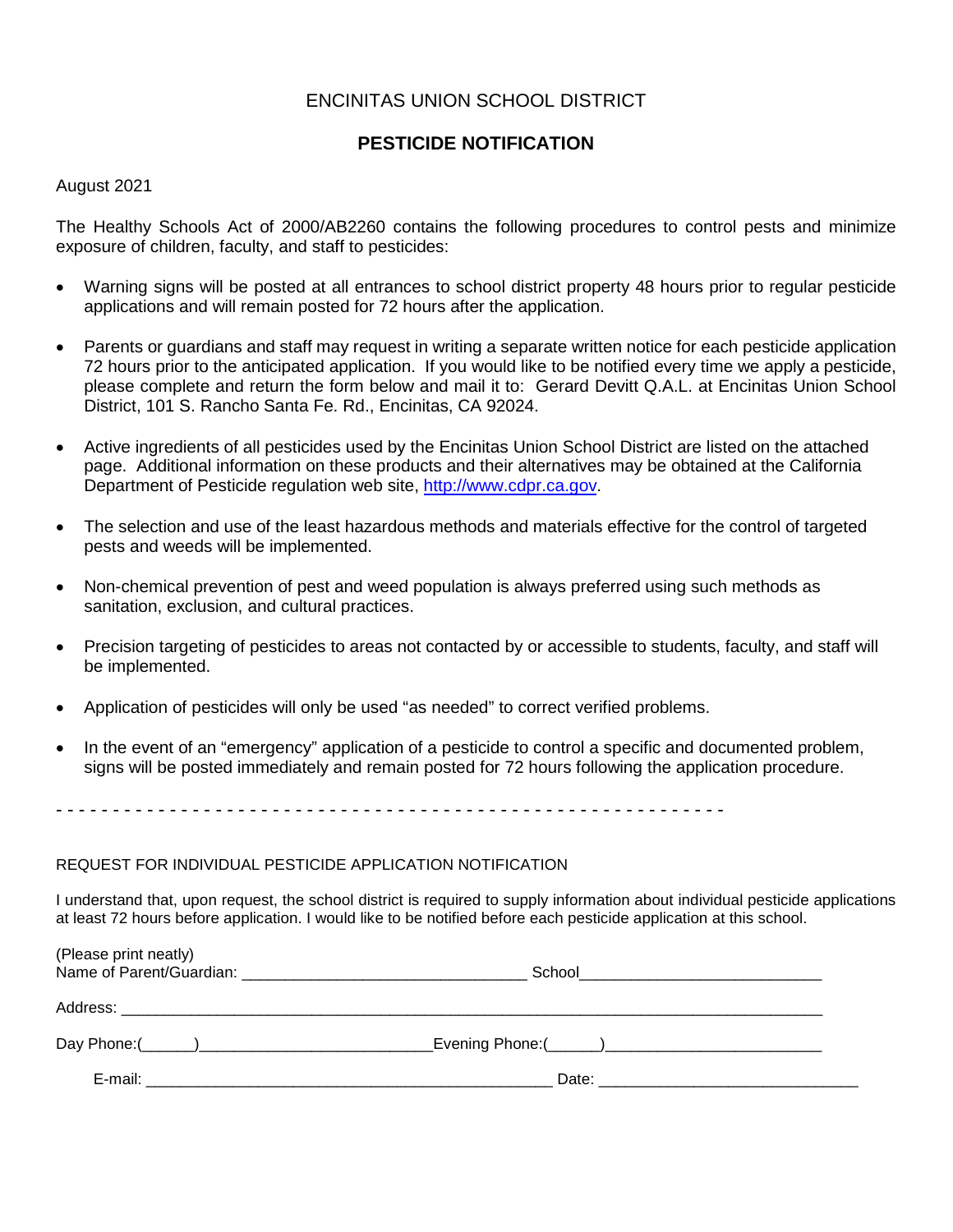### ENCINITAS UNION SCHOOL DISTRICT

# **PESTICIDE NOTIFICATION**

### August 2021

The Healthy Schools Act of 2000/AB2260 contains the following procedures to control pests and minimize exposure of children, faculty, and staff to pesticides:

- Warning signs will be posted at all entrances to school district property 48 hours prior to regular pesticide applications and will remain posted for 72 hours after the application.
- Parents or guardians and staff may request in writing a separate written notice for each pesticide application 72 hours prior to the anticipated application. If you would like to be notified every time we apply a pesticide, please complete and return the form below and mail it to: Gerard Devitt Q.A.L. at Encinitas Union School District, 101 S. Rancho Santa Fe. Rd., Encinitas, CA 92024.
- Active ingredients of all pesticides used by the Encinitas Union School District are listed on the attached page. Additional information on these products and their alternatives may be obtained at the California Department of Pesticide regulation web site, [http://www.cdpr.ca.gov.](http://www.cdpr.ca.gov/)
- The selection and use of the least hazardous methods and materials effective for the control of targeted pests and weeds will be implemented.
- Non-chemical prevention of pest and weed population is always preferred using such methods as sanitation, exclusion, and cultural practices.
- Precision targeting of pesticides to areas not contacted by or accessible to students, faculty, and staff will be implemented.
- Application of pesticides will only be used "as needed" to correct verified problems.
- In the event of an "emergency" application of a pesticide to control a specific and documented problem, signs will be posted immediately and remain posted for 72 hours following the application procedure.

- - - - - - - - - - - - - - - - - - - - - - - - - - - - - - - - - - - - - - - - - - - - - - - - - - - - - - - - - - -

#### REQUEST FOR INDIVIDUAL PESTICIDE APPLICATION NOTIFICATION

I understand that, upon request, the school district is required to supply information about individual pesticide applications at least 72 hours before application. I would like to be notified before each pesticide application at this school.

| (Please print neatly) | School ______________________________ |  |
|-----------------------|---------------------------------------|--|
|                       |                                       |  |
|                       |                                       |  |
| E-mail:               |                                       |  |